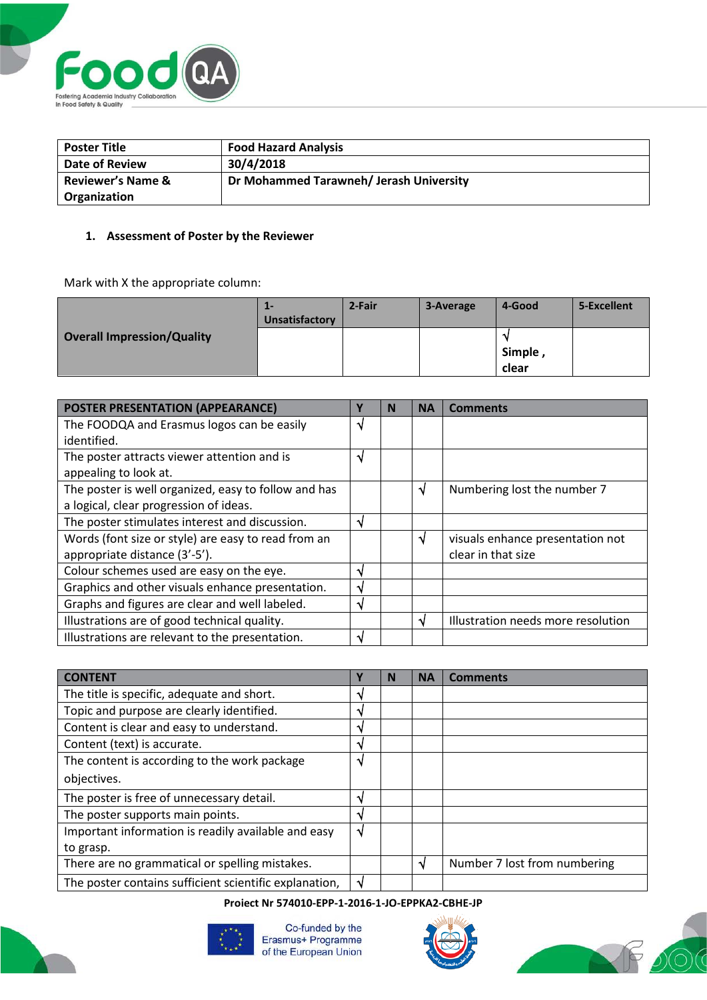

| <b>Poster Title</b>          | <b>Food Hazard Analysis</b>             |
|------------------------------|-----------------------------------------|
| <b>Date of Review</b>        | 30/4/2018                               |
| <b>Reviewer's Name &amp;</b> | Dr Mohammed Tarawneh/ Jerash University |
| Organization                 |                                         |

## **1. Assessment of Poster by the Reviewer**

Mark with X the appropriate column:

|                                   | 1-<br>Unsatisfactory | 2-Fair | 3-Average | 4-Good           | 5-Excellent |
|-----------------------------------|----------------------|--------|-----------|------------------|-------------|
| <b>Overall Impression/Quality</b> |                      |        |           | Simple,<br>clear |             |

| POSTER PRESENTATION (APPEARANCE)                     |   | N | <b>NA</b> | <b>Comments</b>                    |
|------------------------------------------------------|---|---|-----------|------------------------------------|
| The FOODQA and Erasmus logos can be easily           | N |   |           |                                    |
| identified.                                          |   |   |           |                                    |
| The poster attracts viewer attention and is          |   |   |           |                                    |
| appealing to look at.                                |   |   |           |                                    |
| The poster is well organized, easy to follow and has |   |   | N         | Numbering lost the number 7        |
| a logical, clear progression of ideas.               |   |   |           |                                    |
| The poster stimulates interest and discussion.       | N |   |           |                                    |
| Words (font size or style) are easy to read from an  |   |   | N         | visuals enhance presentation not   |
| appropriate distance (3'-5').                        |   |   |           | clear in that size                 |
| Colour schemes used are easy on the eye.             | N |   |           |                                    |
| Graphics and other visuals enhance presentation.     | N |   |           |                                    |
| Graphs and figures are clear and well labeled.       | N |   |           |                                    |
| Illustrations are of good technical quality.         |   |   |           | Illustration needs more resolution |
| Illustrations are relevant to the presentation.      | N |   |           |                                    |

| <b>CONTENT</b>                                         |   | N | <b>NA</b> | Comments                     |
|--------------------------------------------------------|---|---|-----------|------------------------------|
| The title is specific, adequate and short.             | N |   |           |                              |
| Topic and purpose are clearly identified.              |   |   |           |                              |
| Content is clear and easy to understand.               | N |   |           |                              |
| Content (text) is accurate.                            | N |   |           |                              |
| The content is according to the work package           | N |   |           |                              |
| objectives.                                            |   |   |           |                              |
| The poster is free of unnecessary detail.              | N |   |           |                              |
| The poster supports main points.                       | N |   |           |                              |
| Important information is readily available and easy    | ٦ |   |           |                              |
| to grasp.                                              |   |   |           |                              |
| There are no grammatical or spelling mistakes.         |   |   | N         | Number 7 lost from numbering |
| The poster contains sufficient scientific explanation, | N |   |           |                              |

## **Project Nr 574010-EPP-1-2016-1-JO-EPPKA2-CBHE-JP**



Co-funded by the<br>Erasmus+ Programme of the European Union